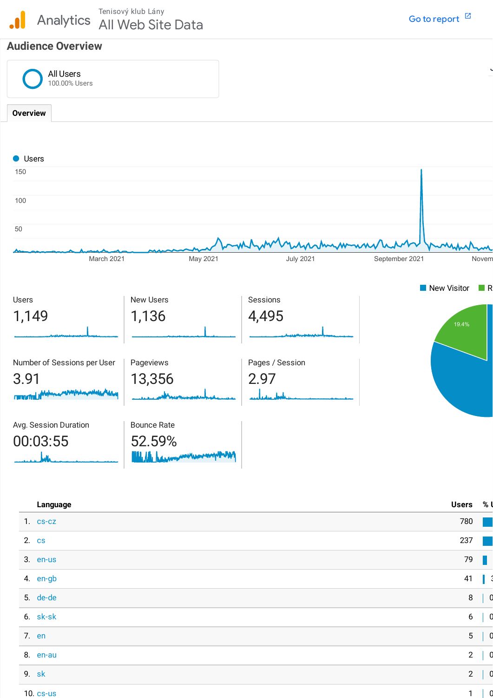Tenisový klub Lány<br>Analytics All Web Sit All Web Site Data

# **Audience Overview**

| All Users<br>100.00% Users  |                    |                     |                         |
|-----------------------------|--------------------|---------------------|-------------------------|
| <b>Overview</b>             |                    |                     |                         |
|                             |                    |                     |                         |
| <b>O</b> Users              |                    |                     |                         |
| 150                         |                    |                     |                         |
| 100                         |                    |                     |                         |
| 50                          |                    |                     |                         |
|                             |                    |                     |                         |
| March 2021                  | May 2021           | <b>July 2021</b>    | September 2021<br>Novem |
|                             |                    |                     | New Visitor<br>$\Box$ R |
| Users                       | <b>New Users</b>   | Sessions            |                         |
| 1,149                       | 1,136              | 4,495               | 19.4%                   |
|                             |                    |                     |                         |
| Number of Sessions per User | Pageviews          | Pages / Session     |                         |
|                             |                    |                     |                         |
|                             |                    |                     |                         |
| 3.91<br>n muth              | 13,356             | 2.97<br>عاسل سيماعي |                         |
|                             |                    |                     |                         |
| Avg. Session Duration       | <b>Bounce Rate</b> |                     |                         |
| 00:03:55                    | 52.59%             |                     |                         |

| Language       | <b>Users</b>   | % |
|----------------|----------------|---|
| $1. c s-cz$    | 780            |   |
| 2. cs          | 237            |   |
| 3. en-us       | 79             |   |
| 4. en-gb       | 41             |   |
| 5. de-de       | $\, 8$         |   |
| 6. sk-sk       | $6\,$          |   |
| 7. en          | $5\,$          |   |
| 8. en-au       | $\overline{2}$ |   |
| 9. sk          | $\overline{2}$ |   |
| $10.$ $cs$ -us | $\mathbf{1}$   |   |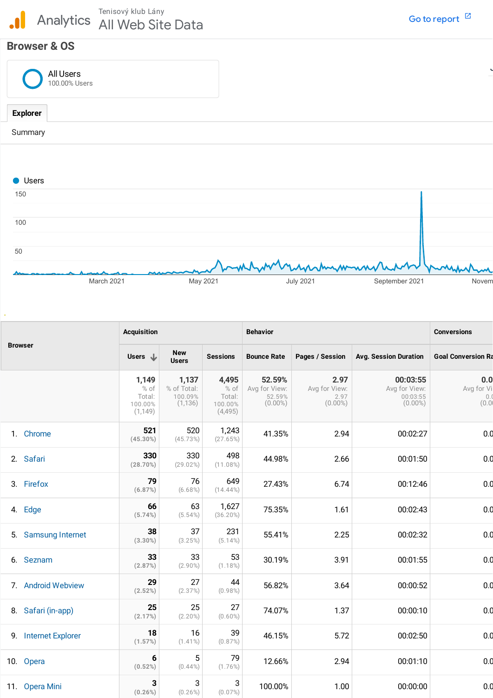# **Browser & OS**

| All Users<br>100.00% Users |  |
|----------------------------|--|
| <b>Explorer</b>            |  |
| Summary                    |  |



|    |                      | <b>Acquisition</b>                                                  |                                             |                                                 | <b>Behavior</b>                                 | <b>Conversions</b>                          |                                                     |                            |
|----|----------------------|---------------------------------------------------------------------|---------------------------------------------|-------------------------------------------------|-------------------------------------------------|---------------------------------------------|-----------------------------------------------------|----------------------------|
|    | <b>Browser</b>       | <b>New</b><br>Users $\downarrow$<br><b>Sessions</b><br><b>Users</b> |                                             | <b>Bounce Rate</b>                              | Pages / Session                                 | <b>Avg. Session Duration</b>                | <b>Goal Conversion Ra</b>                           |                            |
|    |                      | 1,149<br>% of<br>Total:<br>100.00%<br>(1, 149)                      | 1,137<br>% of Total:<br>100.09%<br>(1, 136) | 4,495<br>$%$ of<br>Total:<br>100.00%<br>(4,495) | 52.59%<br>Avg for View:<br>52.59%<br>$(0.00\%)$ | 2.97<br>Avg for View:<br>2.97<br>$(0.00\%)$ | 00:03:55<br>Avg for View:<br>00:03:55<br>$(0.00\%)$ | 0.0<br>Avg for Vi<br>(0.0) |
|    | 1. Chrome            | 521<br>$(45.30\%)$                                                  | 520<br>(45.73%)                             | 1,243<br>(27.65%)                               | 41.35%                                          | 2.94                                        | 00:02:27                                            | 0.0                        |
|    | 2. Safari            | 330<br>(28.70%)                                                     | 330<br>(29.02%)                             | 498<br>$(11.08\%)$                              | 44.98%                                          | 2.66                                        | 00:01:50                                            | 0.0                        |
|    | 3. Firefox           | 79<br>(6.87%)                                                       | 76<br>$(6.68\%)$                            | 649<br>$(14.44\%)$                              | 27.43%                                          | 6.74                                        | 00:12:46                                            | 0.d                        |
| 4. | Edge                 | 66<br>(5.74%)                                                       | 63<br>$(5.54\%)$                            | 1,627<br>$(36.20\%)$                            | 75.35%                                          | 1.61                                        | 00:02:43                                            | 0.d                        |
|    | 5. Samsung Internet  | 38<br>$(3.30\%)$                                                    | 37<br>(3.25%)                               | 231<br>$(5.14\%)$                               | 55.41%                                          | 2.25                                        | 00:02:32                                            | 0.d                        |
|    | 6. Seznam            | 33<br>(2.87%)                                                       | 33<br>$(2.90\%)$                            | 53<br>$(1.18\%)$                                | 30.19%                                          | 3.91                                        | 00:01:55                                            | 0.d                        |
|    | 7. Android Webview   | 29<br>(2.52%)                                                       | 27<br>(2.37%)                               | 44<br>$(0.98\%)$                                | 56.82%                                          | 3.64                                        | 00:00:52                                            | 0.d                        |
|    | 8. Safari (in-app)   | 25<br>(2.17%)                                                       | 25<br>$(2.20\%)$                            | 27<br>$(0.60\%)$                                | 74.07%                                          | 1.37                                        | 00:00:10                                            | 0.d                        |
|    | 9. Internet Explorer | 18<br>(1.57%)                                                       | 16<br>$(1.41\%)$                            | 39<br>(0.87%)                                   | 46.15%                                          | 5.72                                        | 00:02:50                                            | 0.0                        |
|    | 10. Opera            | 6<br>(0.52%)                                                        | 5<br>$(0.44\%)$                             | 79<br>$(1.76\%)$                                | 12.66%                                          | 2.94                                        | 00:01:10                                            | 0.d                        |
|    | 11. Opera Mini       | 3<br>$(0.26\%)$                                                     | 3<br>$(0.26\%)$                             | 3<br>$(0.07\%)$                                 | 100.00%                                         | 1.00                                        | 00:00:00                                            | 0.0                        |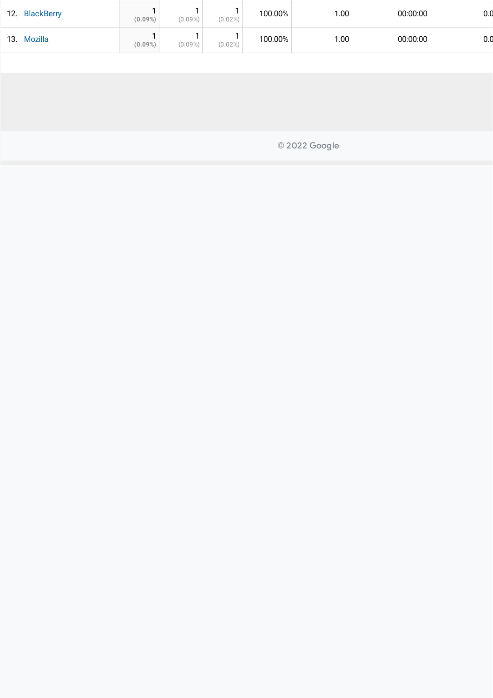| <b>BlackBerry</b><br>12. | $(0.09\%)$ | $(0.09\%)$ | $(0.02\%)$ | 100.00% | 1.00 | 00:00:00 | 0.C |
|--------------------------|------------|------------|------------|---------|------|----------|-----|
| <b>Mozilla</b><br>13.    | $(0.09\%)$ | $(0.09\%)$ | $(0.02\%)$ | 100.00% | 1.00 | 00:00:00 | 0.C |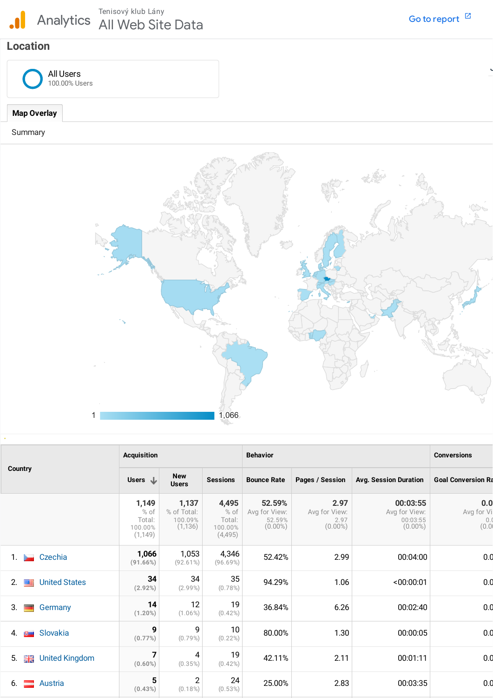

J

# **Location**



### **Map Overlay**

#### Summary



|                                       | <b>Acquisition</b>                             |                                             |                                               | <b>Behavior</b>                                 | <b>Conversions</b>                          |                                                     |                                   |
|---------------------------------------|------------------------------------------------|---------------------------------------------|-----------------------------------------------|-------------------------------------------------|---------------------------------------------|-----------------------------------------------------|-----------------------------------|
| Country                               | Users $\downarrow$                             | <b>New</b><br><b>Users</b>                  | <b>Sessions</b>                               | <b>Bounce Rate</b>                              | Pages / Session                             | <b>Avg. Session Duration</b>                        | <b>Goal Conversion Ra</b>         |
|                                       | 1,149<br>% of<br>Total:<br>100.00%<br>(1, 149) | 1,137<br>% of Total:<br>100.09%<br>(1, 136) | 4,495<br>% of<br>Total:<br>100.00%<br>(4,495) | 52.59%<br>Avg for View:<br>52.59%<br>$(0.00\%)$ | 2.97<br>Avg for View:<br>2.97<br>$(0.00\%)$ | 00:03:55<br>Avg for View:<br>00:03:55<br>$(0.00\%)$ | 0.0<br>Avg for Vi<br>0.1<br>(0.0) |
| Czechia<br>1.                         | 1,066<br>(91.66%)                              | 1,053<br>$(92.61\%)$                        | 4,346<br>(96.69%)                             | 52.42%                                          | 2.99                                        | 00:04:00                                            | 0.0                               |
| <b>United States</b><br>2.<br>网里      | 34<br>(2.92%)                                  | 34<br>$(2.99\%)$                            | 35<br>$(0.78\%)$                              | 94.29%                                          | 1.06                                        | < 00:00:01                                          | 0.0                               |
| 3.<br>Germany<br>-                    | 14<br>$(1.20\%)$                               | 12<br>$(1.06\%)$                            | 19<br>$(0.42\%)$                              | 36.84%                                          | 6.26                                        | 00:02:40                                            | 0.0                               |
| Slovakia<br>4.<br>$\Omega_{\rm{max}}$ | 9<br>(0.77%)                                   | 9<br>$(0.79\%)$                             | 10<br>$(0.22\%)$                              | 80.00%                                          | 1.30                                        | 00:00:05                                            | 0.0                               |
| 5.<br><b>圖書</b> United Kingdom        | 7<br>$(0.60\%)$                                | 4<br>(0.35%)                                | 19<br>$(0.42\%)$                              | 42.11%                                          | 2.11                                        | 00:01:11                                            | 0.0                               |
| 6.<br>Austria                         | 5<br>(0.43%)                                   | $\overline{2}$<br>$(0.18\%)$                | 24<br>$(0.53\%)$                              | 25.00%                                          | 2.83                                        | 00:03:35                                            | 0.0                               |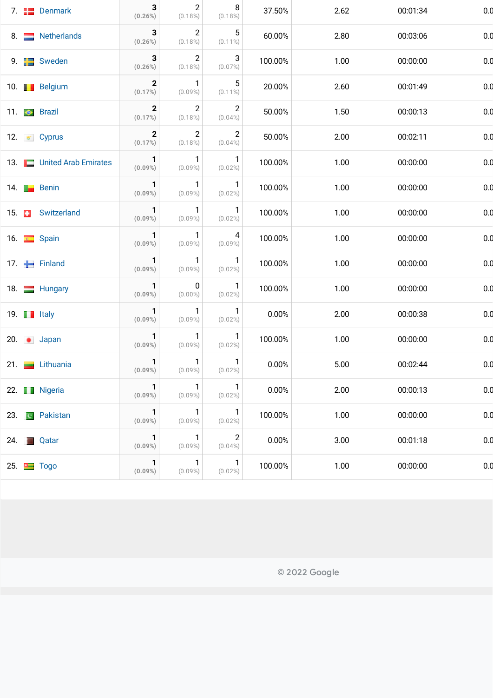| $\overline{2}$<br>5<br>3<br>8. Netherlands<br>2.80<br>60.00%<br>00:03:06<br>$(0.26\%)$<br>$(0.18\%)$<br>$(0.11\%)$<br>$\overline{2}$<br>3<br>3<br>100.00%<br>1.00<br>9. <b>But Sweden</b><br>00:00:00<br>$(0.26\%)$<br>$(0.18\%)$<br>$(0.07\%)$<br>5<br>$\mathbf{2}$<br>$\mathbf{1}$<br>2.60<br>10. <b>Belgium</b><br>20.00%<br>00:01:49<br>(0.17%)<br>$(0.09\%)$<br>$(0.11\%)$<br>$\overline{2}$<br>$\overline{2}$<br>$\mathbf{2}$<br>50.00%<br>1.50<br>00:00:13<br>11. $\bullet$ Brazil<br>(0.17%)<br>$(0.04\%)$<br>$(0.18\%)$<br>$\mathbf{2}$<br>$\overline{2}$<br>$\mathbf{2}$<br>50.00%<br>2.00<br>00:02:11<br>12. $\bullet$ Cyprus<br>(0.17%)<br>$(0.04\%)$<br>$(0.18\%)$<br>$\mathbf{1}$<br>$\mathbf{1}$<br>$\overline{1}$<br>13. United Arab Emirates<br>100.00%<br>1.00<br>00:00:00<br>$(0.09\%)$<br>$(0.09\%)$<br>$(0.02\%)$<br>$\mathbf{1}$<br>$\mathbf{1}$<br>$\overline{1}$<br>100.00%<br>1.00<br>00:00:00<br>14. <b>Exercise Benin</b><br>$(0.09\%)$<br>$(0.09\%)$<br>$(0.02\%)$<br>$\mathbf{1}$<br>1<br>$\overline{1}$<br>15. <b>B</b> Switzerland<br>1.00<br>100.00%<br>00:00:00<br>$(0.09\%)$<br>$(0.02\%)$<br>$(0.09\%)$<br>-1<br>1<br>4<br>100.00%<br>1.00<br>00:00:00<br>16. $S$ Spain<br>$(0.09\%)$<br>$(0.09\%)$<br>$(0.09\%)$<br>-1<br>$\mathbf{1}$<br>1<br>17. Finland<br>100.00%<br>1.00<br>00:00:00<br>$(0.09\%)$<br>$(0.09\%)$<br>$(0.02\%)$<br>0<br>1<br>-1<br>100.00%<br>1.00<br>00:00:00<br>18. Hungary<br>$(0.09\%)$<br>$(0.02\%)$<br>$(0.00\%)$<br>$\mathbf{1}$<br>1<br>$\overline{1}$<br>0.00%<br>2.00<br>19. $\blacksquare$ Italy<br>00:00:38<br>$(0.09\%)$<br>$(0.09\%)$<br>$(0.02\%)$<br>1<br>-1<br>$\overline{1}$<br>100.00%<br>20. Japan<br>1.00<br>00:00:00<br>$(0.09\%)$<br>$(0.09\%)$<br>$(0.02\%)$<br>$\mathbf{1}$<br>$\mathbf{1}$<br>$\mathbf{1}$<br>0.00%<br>5.00<br>21. Lithuania<br>00:02:44<br>$(0.09\%)$<br>(0.09%)<br>$(0.02\%)$<br>$\mathbf{1}$<br>$\mathbf{1}$<br>$\mathbf{1}$<br>2.00<br>0.00%<br>00:00:13<br>22. I Nigeria<br>$(0.09\%)$<br>$(0.09\%)$<br>$(0.02\%)$<br>1<br>$\mathbf{1}$<br>$\overline{1}$<br>1.00<br>23. <b>E</b> Pakistan<br>100.00%<br>00:00:00<br>$(0.09\%)$<br>$(0.09\%)$<br>$(0.02\%)$<br>$\overline{2}$<br>$\mathbf{1}$<br>$\mathbf{1}$<br>0.00%<br>3.00<br>00:01:18<br>24. <b>Qatar</b><br>$(0.09\%)$<br>$(0.09\%)$<br>$(0.04\%)$<br>1<br>$\mathbf{1}$<br>$\sqrt{1}$<br>100.00%<br>25. $\Box$ Togo<br>1.00<br>00:00:00<br>$(0.09\%)$<br>$(0.09\%)$<br>$(0.02\%)$ |  | 7. <b>Example 1</b> Denmark | 3<br>$(0.26\%)$ | $\overline{2}$<br>$(0.18\%)$ | 8<br>$(0.18\%)$ | 37.50% | 2.62 | 00:01:34 | 0.0 |
|------------------------------------------------------------------------------------------------------------------------------------------------------------------------------------------------------------------------------------------------------------------------------------------------------------------------------------------------------------------------------------------------------------------------------------------------------------------------------------------------------------------------------------------------------------------------------------------------------------------------------------------------------------------------------------------------------------------------------------------------------------------------------------------------------------------------------------------------------------------------------------------------------------------------------------------------------------------------------------------------------------------------------------------------------------------------------------------------------------------------------------------------------------------------------------------------------------------------------------------------------------------------------------------------------------------------------------------------------------------------------------------------------------------------------------------------------------------------------------------------------------------------------------------------------------------------------------------------------------------------------------------------------------------------------------------------------------------------------------------------------------------------------------------------------------------------------------------------------------------------------------------------------------------------------------------------------------------------------------------------------------------------------------------------------------------------------------------------------------------------------------------------------------------------------------------------------------------------------------------------------------------------------------------------------------------------------------------------------------------------------------------------------------------------------------------------|--|-----------------------------|-----------------|------------------------------|-----------------|--------|------|----------|-----|
|                                                                                                                                                                                                                                                                                                                                                                                                                                                                                                                                                                                                                                                                                                                                                                                                                                                                                                                                                                                                                                                                                                                                                                                                                                                                                                                                                                                                                                                                                                                                                                                                                                                                                                                                                                                                                                                                                                                                                                                                                                                                                                                                                                                                                                                                                                                                                                                                                                                |  |                             |                 |                              |                 |        |      |          | 0.0 |
|                                                                                                                                                                                                                                                                                                                                                                                                                                                                                                                                                                                                                                                                                                                                                                                                                                                                                                                                                                                                                                                                                                                                                                                                                                                                                                                                                                                                                                                                                                                                                                                                                                                                                                                                                                                                                                                                                                                                                                                                                                                                                                                                                                                                                                                                                                                                                                                                                                                |  |                             |                 |                              |                 |        |      |          | 0.0 |
|                                                                                                                                                                                                                                                                                                                                                                                                                                                                                                                                                                                                                                                                                                                                                                                                                                                                                                                                                                                                                                                                                                                                                                                                                                                                                                                                                                                                                                                                                                                                                                                                                                                                                                                                                                                                                                                                                                                                                                                                                                                                                                                                                                                                                                                                                                                                                                                                                                                |  |                             |                 |                              |                 |        |      |          | 0.0 |
|                                                                                                                                                                                                                                                                                                                                                                                                                                                                                                                                                                                                                                                                                                                                                                                                                                                                                                                                                                                                                                                                                                                                                                                                                                                                                                                                                                                                                                                                                                                                                                                                                                                                                                                                                                                                                                                                                                                                                                                                                                                                                                                                                                                                                                                                                                                                                                                                                                                |  |                             |                 |                              |                 |        |      |          | 0.0 |
|                                                                                                                                                                                                                                                                                                                                                                                                                                                                                                                                                                                                                                                                                                                                                                                                                                                                                                                                                                                                                                                                                                                                                                                                                                                                                                                                                                                                                                                                                                                                                                                                                                                                                                                                                                                                                                                                                                                                                                                                                                                                                                                                                                                                                                                                                                                                                                                                                                                |  |                             |                 |                              |                 |        |      |          | 0.0 |
|                                                                                                                                                                                                                                                                                                                                                                                                                                                                                                                                                                                                                                                                                                                                                                                                                                                                                                                                                                                                                                                                                                                                                                                                                                                                                                                                                                                                                                                                                                                                                                                                                                                                                                                                                                                                                                                                                                                                                                                                                                                                                                                                                                                                                                                                                                                                                                                                                                                |  |                             |                 |                              |                 |        |      |          | 0.0 |
|                                                                                                                                                                                                                                                                                                                                                                                                                                                                                                                                                                                                                                                                                                                                                                                                                                                                                                                                                                                                                                                                                                                                                                                                                                                                                                                                                                                                                                                                                                                                                                                                                                                                                                                                                                                                                                                                                                                                                                                                                                                                                                                                                                                                                                                                                                                                                                                                                                                |  |                             |                 |                              |                 |        |      |          | 0.0 |
|                                                                                                                                                                                                                                                                                                                                                                                                                                                                                                                                                                                                                                                                                                                                                                                                                                                                                                                                                                                                                                                                                                                                                                                                                                                                                                                                                                                                                                                                                                                                                                                                                                                                                                                                                                                                                                                                                                                                                                                                                                                                                                                                                                                                                                                                                                                                                                                                                                                |  |                             |                 |                              |                 |        |      |          | 0.0 |
|                                                                                                                                                                                                                                                                                                                                                                                                                                                                                                                                                                                                                                                                                                                                                                                                                                                                                                                                                                                                                                                                                                                                                                                                                                                                                                                                                                                                                                                                                                                                                                                                                                                                                                                                                                                                                                                                                                                                                                                                                                                                                                                                                                                                                                                                                                                                                                                                                                                |  |                             |                 |                              |                 |        |      |          | 0.0 |
|                                                                                                                                                                                                                                                                                                                                                                                                                                                                                                                                                                                                                                                                                                                                                                                                                                                                                                                                                                                                                                                                                                                                                                                                                                                                                                                                                                                                                                                                                                                                                                                                                                                                                                                                                                                                                                                                                                                                                                                                                                                                                                                                                                                                                                                                                                                                                                                                                                                |  |                             |                 |                              |                 |        |      |          | 0.0 |
|                                                                                                                                                                                                                                                                                                                                                                                                                                                                                                                                                                                                                                                                                                                                                                                                                                                                                                                                                                                                                                                                                                                                                                                                                                                                                                                                                                                                                                                                                                                                                                                                                                                                                                                                                                                                                                                                                                                                                                                                                                                                                                                                                                                                                                                                                                                                                                                                                                                |  |                             |                 |                              |                 |        |      |          | 0.0 |
|                                                                                                                                                                                                                                                                                                                                                                                                                                                                                                                                                                                                                                                                                                                                                                                                                                                                                                                                                                                                                                                                                                                                                                                                                                                                                                                                                                                                                                                                                                                                                                                                                                                                                                                                                                                                                                                                                                                                                                                                                                                                                                                                                                                                                                                                                                                                                                                                                                                |  |                             |                 |                              |                 |        |      |          | 0.0 |
|                                                                                                                                                                                                                                                                                                                                                                                                                                                                                                                                                                                                                                                                                                                                                                                                                                                                                                                                                                                                                                                                                                                                                                                                                                                                                                                                                                                                                                                                                                                                                                                                                                                                                                                                                                                                                                                                                                                                                                                                                                                                                                                                                                                                                                                                                                                                                                                                                                                |  |                             |                 |                              |                 |        |      |          | 0.0 |
|                                                                                                                                                                                                                                                                                                                                                                                                                                                                                                                                                                                                                                                                                                                                                                                                                                                                                                                                                                                                                                                                                                                                                                                                                                                                                                                                                                                                                                                                                                                                                                                                                                                                                                                                                                                                                                                                                                                                                                                                                                                                                                                                                                                                                                                                                                                                                                                                                                                |  |                             |                 |                              |                 |        |      |          | 0.0 |
|                                                                                                                                                                                                                                                                                                                                                                                                                                                                                                                                                                                                                                                                                                                                                                                                                                                                                                                                                                                                                                                                                                                                                                                                                                                                                                                                                                                                                                                                                                                                                                                                                                                                                                                                                                                                                                                                                                                                                                                                                                                                                                                                                                                                                                                                                                                                                                                                                                                |  |                             |                 |                              |                 |        |      |          | 0.0 |
|                                                                                                                                                                                                                                                                                                                                                                                                                                                                                                                                                                                                                                                                                                                                                                                                                                                                                                                                                                                                                                                                                                                                                                                                                                                                                                                                                                                                                                                                                                                                                                                                                                                                                                                                                                                                                                                                                                                                                                                                                                                                                                                                                                                                                                                                                                                                                                                                                                                |  |                             |                 |                              |                 |        |      |          | 0.0 |
|                                                                                                                                                                                                                                                                                                                                                                                                                                                                                                                                                                                                                                                                                                                                                                                                                                                                                                                                                                                                                                                                                                                                                                                                                                                                                                                                                                                                                                                                                                                                                                                                                                                                                                                                                                                                                                                                                                                                                                                                                                                                                                                                                                                                                                                                                                                                                                                                                                                |  |                             |                 |                              |                 |        |      |          | 0.0 |
|                                                                                                                                                                                                                                                                                                                                                                                                                                                                                                                                                                                                                                                                                                                                                                                                                                                                                                                                                                                                                                                                                                                                                                                                                                                                                                                                                                                                                                                                                                                                                                                                                                                                                                                                                                                                                                                                                                                                                                                                                                                                                                                                                                                                                                                                                                                                                                                                                                                |  |                             |                 |                              |                 |        |      |          | 0.0 |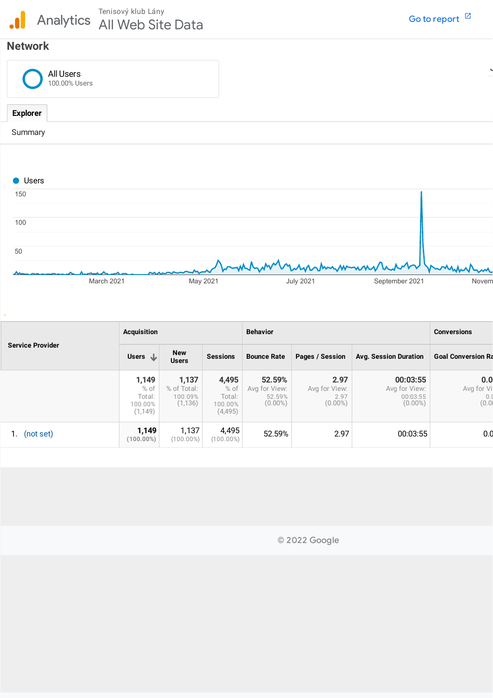# **Network**

| All Users<br>100.00% Users |  |
|----------------------------|--|
| <b>Explorer</b>            |  |
| Summary                    |  |
|                            |  |



| <b>Service Provider</b> | <b>Acquisition</b>                               |                                             |                                                 | <b>Behavior</b>                                 | <b>Conversions</b>                          |                                                     |                            |
|-------------------------|--------------------------------------------------|---------------------------------------------|-------------------------------------------------|-------------------------------------------------|---------------------------------------------|-----------------------------------------------------|----------------------------|
|                         | Users $\mathbf{L}$                               | <b>New</b><br><b>Users</b>                  | <b>Sessions</b>                                 | <b>Bounce Rate</b>                              | Pages / Session                             | <b>Avg. Session Duration</b>                        | <b>Goal Conversion Ra</b>  |
|                         | 1,149<br>$%$ of<br>Total:<br>100.00%<br>(1, 149) | 1,137<br>% of Total:<br>100.09%<br>(1, 136) | 4,495<br>$%$ of<br>Total:<br>100.00%<br>(4,495) | 52.59%<br>Avg for View:<br>52.59%<br>$(0.00\%)$ | 2.97<br>Avg for View:<br>2.97<br>$(0.00\%)$ | 00:03:55<br>Avg for View:<br>00:03:55<br>$(0.00\%)$ | 0.0<br>Avg for Vi<br>(0.0) |
| (not set)               | 1,149<br>$(100.00\%)$                            | 1,137<br>$(100.00\%)$                       | 4,495<br>(100.00%)                              | 52.59%                                          | 2.97                                        | 00:03:55                                            | 0.0                        |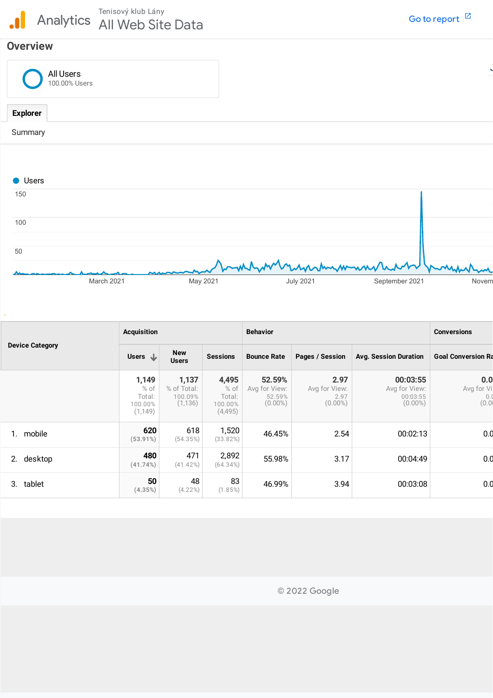## **Overview**

| All Users<br>100.00% Users |  |
|----------------------------|--|
| <b>Explorer</b>            |  |
| Summary                    |  |
|                            |  |



|                        | <b>Acquisition</b>                               |                                             |                                                | <b>Behavior</b>                                 | <b>Conversions</b>                          |                                                     |                                  |
|------------------------|--------------------------------------------------|---------------------------------------------|------------------------------------------------|-------------------------------------------------|---------------------------------------------|-----------------------------------------------------|----------------------------------|
| <b>Device Category</b> | Users $\downarrow$                               | <b>New</b><br><b>Users</b>                  | <b>Sessions</b>                                | <b>Bounce Rate</b>                              | Pages / Session                             | <b>Avg. Session Duration</b>                        | <b>Goal Conversion Ra</b>        |
|                        | 1,149<br>$%$ of<br>Total:<br>100.00%<br>(1, 149) | 1,137<br>% of Total:<br>100.09%<br>(1, 136) | 4,495<br>% of<br>Total:<br>100.00%<br>(4, 495) | 52.59%<br>Avg for View:<br>52.59%<br>$(0.00\%)$ | 2.97<br>Avg for View:<br>2.97<br>$(0.00\%)$ | 00:03:55<br>Avg for View:<br>00:03:55<br>$(0.00\%)$ | 0.0<br>Avg for Vi<br>0.<br>(0.0) |
| mobile                 | 620<br>$(53.91\%)$                               | 618<br>(54.35%)                             | 1,520<br>(33.82%)                              | 46.45%                                          | 2.54                                        | 00:02:13                                            | 0.0                              |
| 2.<br>desktop          | 480<br>(41.74%)                                  | 471<br>(41.42%)                             | 2,892<br>$(64.34\%)$                           | 55.98%                                          | 3.17                                        | 00:04:49                                            | 0.0                              |
| tablet<br>3.           | 50<br>(4.35%)                                    | 48<br>$(4.22\%)$                            | 83<br>(1.85%)                                  | 46.99%                                          | 3.94                                        | 00:03:08                                            | 0.0                              |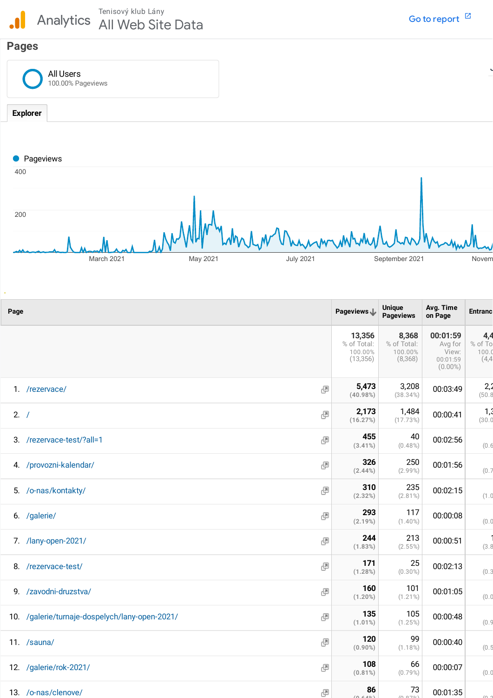$\mathbf{a}$ 





| Page |                                                     | Pageviews J                                   | <b>Unique</b><br><b>Pageviews</b>          | Avg. Time<br>on Page                                   | <b>Entranc</b>                   |
|------|-----------------------------------------------------|-----------------------------------------------|--------------------------------------------|--------------------------------------------------------|----------------------------------|
|      |                                                     | 13,356<br>% of Total:<br>100.00%<br>(13, 356) | 8,368<br>% of Total:<br>100.00%<br>(8,368) | 00:01:59<br>Avg for<br>View:<br>00:01:59<br>$(0.00\%)$ | 4,4<br>% of To<br>100.0<br>(4,4) |
|      | 凸<br>1. /rezervace/                                 | 5,473<br>(40.98%)                             | 3,208<br>(38.34%)                          | 00:03:49                                               | 2,2<br>(50.8)                    |
| 2. / | 凸                                                   | 2,173<br>(16.27%)                             | 1,484<br>(17.73%)                          | 00:00:41                                               | 1,<br>(30.0                      |
|      | 團<br>3. /rezervace-test/?all=1                      | 455<br>$(3.41\%)$                             | 40<br>$(0.48\%)$                           | 00:02:56                                               | (0.6)                            |
|      | 4. /provozni-kalendar/<br>凸                         | 326<br>(2.44%                                 | 250<br>$(2.99\%)$                          | 00:01:56                                               | (0.7)                            |
|      | 凸<br>5. /o-nas/kontakty/                            | 310<br>(2.32%)                                | 235<br>$(2.81\%)$                          | 00:02:15                                               | (1.0                             |
|      | 團<br>6. /galerie/                                   | 293<br>(2.19%)                                | 117<br>$(1.40\%)$                          | 00:00:08                                               | (0.0)                            |
|      | 凸<br>7. /lany-open-2021/                            | 244<br>(1.83%)                                | 213<br>$(2.55\%)$                          | 00:00:51                                               | (3.8)                            |
|      | 8. /rezervace-test/<br>團                            | 171<br>(1.28%)                                | 25<br>$(0.30\%)$                           | 00:02:13                                               | (0.3)                            |
|      | 9. /zavodni-druzstva/<br>團                          | 160<br>$(1.20\%)$                             | 101<br>$(1.21\%)$                          | 00:01:05                                               | (0.0)                            |
|      | 10. /galerie/turnaje-dospelych/lany-open-2021/<br>凸 | 135<br>$(1.01\%)$                             | 105<br>(1.25%)                             | 00:00:48                                               | (0.9)                            |
|      | 凸<br>11. /sauna/                                    | 120<br>$(0.90\%)$                             | 99<br>$(1.18\%)$                           | 00:00:40                                               | (0.5)                            |
|      | 12. /galerie/rok-2021/<br>凸                         | 108<br>$(0.81\%)$                             | 66<br>$(0.79\%)$                           | 00:00:07                                               | (0.0                             |
|      | 13. /o-nas/clenove/<br>團                            | 86                                            | 73                                         | 00:01:35                                               |                                  |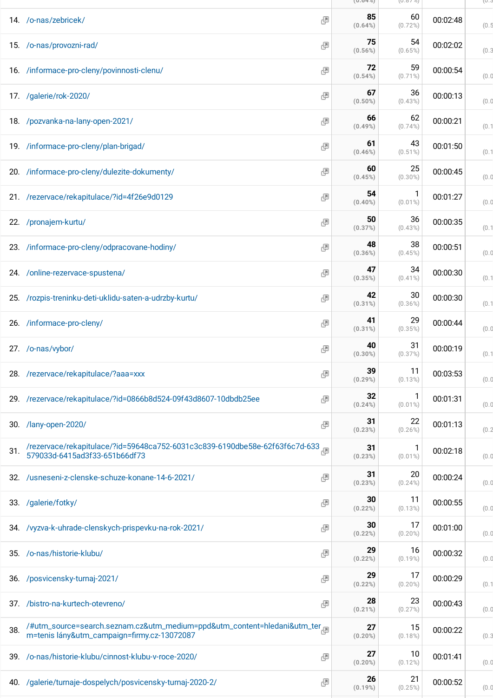|     |                                                                                                                         |   | $(0.04\%)$       | (U.0 / 70)       |          | (U.C  |
|-----|-------------------------------------------------------------------------------------------------------------------------|---|------------------|------------------|----------|-------|
|     | 14. /o-nas/zebricek/                                                                                                    | 團 | 85<br>$(0.64\%)$ | 60<br>(0.72%)    | 00:02:48 | (0.5) |
|     | 15. /o-nas/provozni-rad/                                                                                                | Ð | 75<br>$(0.56\%)$ | 54<br>$(0.65\%)$ | 00:02:02 | (0.3) |
|     | 16. /informace-pro-cleny/povinnosti-clenu/                                                                              | 團 | 72<br>(0.54%)    | 59<br>$(0.71\%)$ | 00:00:54 | (0.0) |
|     | 17. /galerie/rok-2020/                                                                                                  | 團 | 67<br>$(0.50\%)$ | 36<br>$(0.43\%)$ | 00:00:13 | (0.0) |
|     | 18. /pozvanka-na-lany-open-2021/                                                                                        | 團 | 66<br>$(0.49\%)$ | 62<br>$(0.74\%)$ | 00:00:21 | (0.1) |
|     | 19. /informace-pro-cleny/plan-brigad/                                                                                   | 團 | 61<br>$(0.46\%)$ | 43<br>$(0.51\%)$ | 00:01:50 | (0.1) |
|     | 20. /informace-pro-cleny/dulezite-dokumenty/                                                                            | 團 | 60<br>(0.45%)    | 25<br>$(0.30\%)$ | 00:00:45 | (0.0) |
|     | 21. /rezervace/rekapitulace/?id=4f26e9d0129                                                                             | 團 | 54<br>$(0.40\%)$ | 1<br>$(0.01\%)$  | 00:01:27 | (0.0) |
|     | 22. /pronajem-kurtu/                                                                                                    | 團 | 50<br>(0.37%)    | 36<br>$(0.43\%)$ | 00:00:35 | (0.1) |
|     | 23. /informace-pro-cleny/odpracovane-hodiny/                                                                            | 團 | 48<br>$(0.36\%)$ | 38<br>(0.45%)    | 00:00:51 | (0.0) |
|     | 24. /online-rezervace-spustena/                                                                                         | 團 | 47<br>(0.35%)    | 34<br>$(0.41\%)$ | 00:00:30 | (0.1) |
|     | 25. /rozpis-treninku-deti-uklidu-saten-a-udrzby-kurtu/                                                                  | 團 | 42<br>$(0.31\%)$ | 30<br>$(0.36\%)$ | 00:00:30 | (0.1) |
|     | 26. /informace-pro-cleny/                                                                                               | Ð | 41<br>$(0.31\%)$ | 29<br>$(0.35\%)$ | 00:00:44 | (0.0) |
|     | 27. /o-nas/vybor/                                                                                                       | 團 | 40<br>$(0.30\%)$ | 31<br>(0.37%)    | 00:00:19 | (0.1) |
|     | 28. /rezervace/rekapitulace/?aaa=xxx                                                                                    | 團 | 39<br>$(0.29\%)$ | 11<br>$(0.13\%)$ | 00:03:53 | (0.0) |
|     | 29. /rezervace/rekapitulace/?id=0866b8d524-09f43d8607-10dbdb25ee                                                        | 團 | 32<br>(0.24%)    | 1<br>$(0.01\%)$  | 00:01:31 | (0.0) |
| 30. | /lany-open-2020/                                                                                                        | 團 | 31<br>(0.23%)    | 22<br>$(0.26\%)$ | 00:01:13 | (0.2) |
| 31. | /rezervace/rekapitulace/?id=59648ca752-6031c3c839-6190dbe58e-62f63f6c7d-633<br>579033d-6415ad3f33-651b66df73            |   | 31<br>(0.23%)    | 1<br>$(0.01\%)$  | 00:02:18 | (0.0) |
|     | 32. /usneseni-z-clenske-schuze-konane-14-6-2021/                                                                        | Ð | 31<br>(0.23%)    | 20<br>$(0.24\%)$ | 00:00:24 | (0.0) |
|     | 33. /galerie/fotky/                                                                                                     | 團 | 30<br>(0.22%)    | 11<br>$(0.13\%)$ | 00:00:55 | (0.0) |
|     | 34. /vyzva-k-uhrade-clenskych-prispevku-na-rok-2021/                                                                    | 團 | 30<br>(0.22%)    | 17<br>$(0.20\%)$ | 00:01:00 | (0.0) |
| 35. | /o-nas/historie-klubu/                                                                                                  | 團 | 29<br>(0.22%)    | 16<br>$(0.19\%)$ | 00:00:32 | (0.0) |
| 36. | /posvicensky-turnaj-2021/                                                                                               | 團 | 29<br>(0.22%)    | 17<br>$(0.20\%)$ | 00:00:29 | (0.1) |
| 37. | /bistro-na-kurtech-otevreno/                                                                                            | 團 | 28<br>$(0.21\%)$ | 23<br>(0.27%)    | 00:00:43 | (0.0) |
| 38. | /#utm_source=search.seznam.cz&utm_medium=ppd&utm_content=hledani&utm_ter<br>m=tenis lány&utm_campaign=firmy.cz-13072087 |   | 27<br>$(0.20\%)$ | 15<br>$(0.18\%)$ | 00:00:22 | (0.3) |
|     | 39. /o-nas/historie-klubu/cinnost-klubu-v-roce-2020/                                                                    | 團 | 27<br>$(0.20\%)$ | 10<br>$(0.12\%)$ | 00:01:41 | (0.0) |
| 40. | /galerie/turnaje-dospelych/posvicensky-turnaj-2020-2/                                                                   | G | 26<br>(0.19%)    | 21<br>(0.25%)    | 00:00:52 | (0.0) |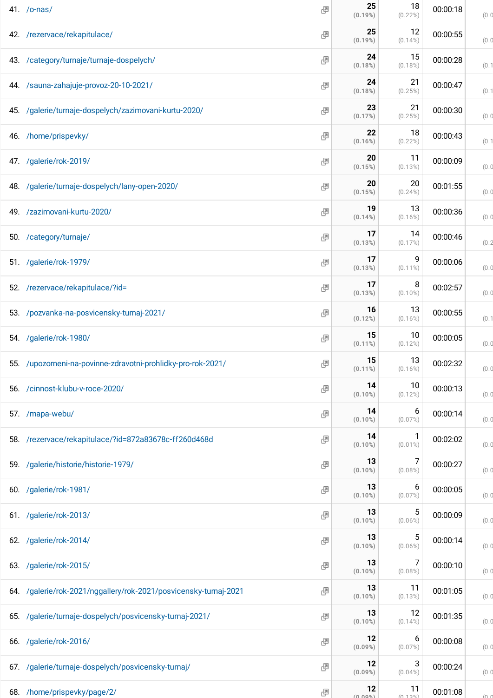| 41. /o-nas/                                                      | Ð | 25<br>$(0.19\%)$ | 18<br>$(0.22\%)$ | 00:00:18 | (0.0) |
|------------------------------------------------------------------|---|------------------|------------------|----------|-------|
| 42. /rezervace/rekapitulace/                                     | 團 | 25<br>(0.19%)    | 12<br>$(0.14\%)$ | 00:00:55 | (0.0) |
| 43. /category/turnaje/turnaje-dospelych/                         | 團 | 24<br>(0.18%)    | 15<br>$(0.18\%)$ | 00:00:28 | (0.1) |
| 44. /sauna-zahajuje-provoz-20-10-2021/                           | 團 | 24<br>(0.18%)    | 21<br>(0.25%)    | 00:00:47 | (0.1) |
| 45. /galerie/turnaje-dospelych/zazimovani-kurtu-2020/            | Ð | 23<br>(0.17%)    | 21<br>(0.25%)    | 00:00:30 | (0.0) |
| 46. /home/prispevky/                                             | 團 | 22<br>(0.16%)    | 18<br>$(0.22\%)$ | 00:00:43 | (0.1) |
| 47. /galerie/rok-2019/                                           | Ð | 20<br>(0.15%)    | 11<br>$(0.13\%)$ | 00:00:09 | (0.0) |
| 48. /galerie/turnaje-dospelych/lany-open-2020/                   | Ð | 20<br>(0.15%)    | 20<br>$(0.24\%)$ | 00:01:55 | (0.0) |
| 49. /zazimovani-kurtu-2020/                                      | 團 | 19<br>(0.14%)    | 13<br>$(0.16\%)$ | 00:00:36 | (0.0) |
| 50. /category/turnaje/                                           | 團 | 17<br>(0.13%)    | 14<br>(0.17%)    | 00:00:46 | (0.2) |
| 51. /galerie/rok-1979/                                           | Ð | 17<br>(0.13%)    | 9<br>$(0.11\%)$  | 00:00:06 | (0.0) |
| 52. /rezervace/rekapitulace/?id=                                 | Ð | 17<br>(0.13%)    | 8<br>$(0.10\%)$  | 00:02:57 | (0.0) |
| 53. /pozvanka-na-posvicensky-turnaj-2021/                        | 團 | 16<br>(0.12%)    | 13<br>$(0.16\%)$ | 00:00:55 | (0.1) |
| 54. /galerie/rok-1980/                                           | 團 | 15<br>$(0.11\%)$ | 10<br>$(0.12\%)$ | 00:00:05 | (0.0) |
| 55. /upozorneni-na-povinne-zdravotni-prohlidky-pro-rok-2021/     | 團 | 15<br>$(0.11\%)$ | 13<br>$(0.16\%)$ | 00:02:32 | (0.0) |
| 56. /cinnost-klubu-v-roce-2020/                                  | Ð | 14<br>$(0.10\%)$ | 10<br>$(0.12\%)$ | 00:00:13 | (0.0) |
| 57. /mapa-webu/                                                  | Ð | 14<br>$(0.10\%)$ | 6<br>(0.07%)     | 00:00:14 | (0.0) |
| 58. /rezervace/rekapitulace/?id=872a83678c-ff260d468d            | 團 | 14<br>$(0.10\%)$ | 1<br>$(0.01\%)$  | 00:02:02 | (0.0) |
| 59. /galerie/historie/historie-1979/                             | Ð | 13<br>$(0.10\%)$ | 7<br>$(0.08\%)$  | 00:00:27 | (0.0) |
| 60. /galerie/rok-1981/                                           | Ð | 13<br>$(0.10\%)$ | 6<br>(0.07%)     | 00:00:05 | (0.0) |
| 61. /galerie/rok-2013/                                           | 國 | 13<br>$(0.10\%)$ | 5<br>$(0.06\%)$  | 00:00:09 | (0.0) |
| 62. /galerie/rok-2014/                                           | 團 | 13<br>$(0.10\%)$ | 5<br>$(0.06\%)$  | 00:00:14 | (0.0) |
| 63. /galerie/rok-2015/                                           | 國 | 13<br>$(0.10\%)$ | 7<br>$(0.08\%)$  | 00:00:10 | (0.0) |
| 64. /galerie/rok-2021/nggallery/rok-2021/posvicensky-turnaj-2021 | Ð | 13<br>$(0.10\%)$ | 11<br>$(0.13\%)$ | 00:01:05 | (0.0) |
| 65. /galerie/turnaje-dospelych/posvicensky-turnaj-2021/          | 團 | 13<br>$(0.10\%)$ | 12<br>$(0.14\%)$ | 00:01:35 | (0.0) |
| 66. /galerie/rok-2016/                                           | 團 | 12<br>$(0.09\%)$ | 6<br>$(0.07\%)$  | 00:00:08 | (0.0) |
| 67. /galerie/turnaje-dospelych/posvicensky-turnaj/               | 團 | 12<br>$(0.09\%)$ | 3<br>$(0.04\%)$  | 00:00:24 | (0.0) |
| 68. /home/prispevky/page/2/                                      | 團 | 12<br>$(0.00\%)$ | 11<br>(0.129)    | 00:01:08 |       |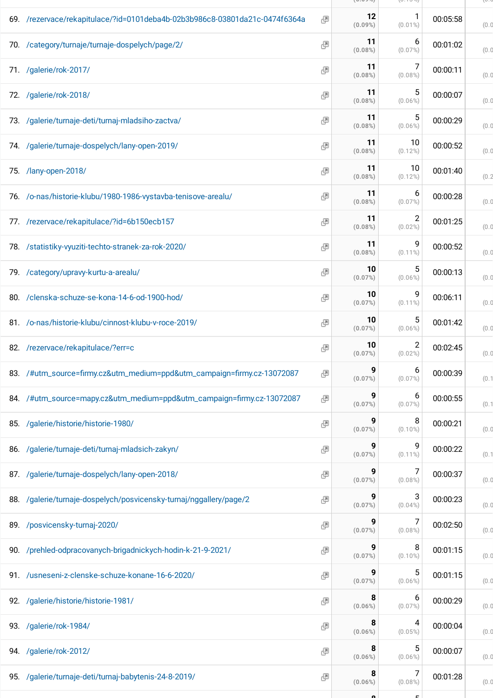|                                |                                                                                                                                                                                                                                                                                                                                                                                                                                                                                                                                                                                                                                                                                                                                                                                                                                                                                                                                                                                                                                                                                                                                                                                                                                                                                                                                             | (0.027)          | (0.107)          |          | $U \cdot C$ |
|--------------------------------|---------------------------------------------------------------------------------------------------------------------------------------------------------------------------------------------------------------------------------------------------------------------------------------------------------------------------------------------------------------------------------------------------------------------------------------------------------------------------------------------------------------------------------------------------------------------------------------------------------------------------------------------------------------------------------------------------------------------------------------------------------------------------------------------------------------------------------------------------------------------------------------------------------------------------------------------------------------------------------------------------------------------------------------------------------------------------------------------------------------------------------------------------------------------------------------------------------------------------------------------------------------------------------------------------------------------------------------------|------------------|------------------|----------|-------------|
|                                | 團                                                                                                                                                                                                                                                                                                                                                                                                                                                                                                                                                                                                                                                                                                                                                                                                                                                                                                                                                                                                                                                                                                                                                                                                                                                                                                                                           | 12<br>$(0.09\%)$ | $(0.01\%)$       | 00:05:58 | (0.0)       |
|                                | 國                                                                                                                                                                                                                                                                                                                                                                                                                                                                                                                                                                                                                                                                                                                                                                                                                                                                                                                                                                                                                                                                                                                                                                                                                                                                                                                                           | 11<br>$(0.08\%)$ | 6<br>(0.07%)     | 00:01:02 | (0.0)       |
|                                | 團                                                                                                                                                                                                                                                                                                                                                                                                                                                                                                                                                                                                                                                                                                                                                                                                                                                                                                                                                                                                                                                                                                                                                                                                                                                                                                                                           | 11<br>(0.08%)    | $(0.08\%)$       | 00:00:11 | (0.0)       |
|                                | 團                                                                                                                                                                                                                                                                                                                                                                                                                                                                                                                                                                                                                                                                                                                                                                                                                                                                                                                                                                                                                                                                                                                                                                                                                                                                                                                                           | 11<br>(0.08%)    | 5<br>$(0.06\%)$  | 00:00:07 | (0.0)       |
|                                | 團                                                                                                                                                                                                                                                                                                                                                                                                                                                                                                                                                                                                                                                                                                                                                                                                                                                                                                                                                                                                                                                                                                                                                                                                                                                                                                                                           | 11<br>$(0.08\%)$ | 5<br>$(0.06\%)$  | 00:00:29 | (0.0)       |
|                                | 團                                                                                                                                                                                                                                                                                                                                                                                                                                                                                                                                                                                                                                                                                                                                                                                                                                                                                                                                                                                                                                                                                                                                                                                                                                                                                                                                           | 11<br>(0.08%)    | 10<br>$(0.12\%)$ | 00:00:52 | (0.0)       |
|                                | 團                                                                                                                                                                                                                                                                                                                                                                                                                                                                                                                                                                                                                                                                                                                                                                                                                                                                                                                                                                                                                                                                                                                                                                                                                                                                                                                                           | 11<br>(0.08%)    | 10<br>$(0.12\%)$ | 00:01:40 | (0.2)       |
|                                | 團                                                                                                                                                                                                                                                                                                                                                                                                                                                                                                                                                                                                                                                                                                                                                                                                                                                                                                                                                                                                                                                                                                                                                                                                                                                                                                                                           | 11<br>$(0.08\%)$ | 6<br>$(0.07\%)$  | 00:00:28 | (0.0)       |
|                                | 團                                                                                                                                                                                                                                                                                                                                                                                                                                                                                                                                                                                                                                                                                                                                                                                                                                                                                                                                                                                                                                                                                                                                                                                                                                                                                                                                           | 11<br>$(0.08\%)$ | 2<br>$(0.02\%)$  | 00:01:25 | (0.0)       |
|                                | 團                                                                                                                                                                                                                                                                                                                                                                                                                                                                                                                                                                                                                                                                                                                                                                                                                                                                                                                                                                                                                                                                                                                                                                                                                                                                                                                                           | 11<br>$(0.08\%)$ | 9<br>$(0.11\%)$  | 00:00:52 | (0.0)       |
|                                | 團                                                                                                                                                                                                                                                                                                                                                                                                                                                                                                                                                                                                                                                                                                                                                                                                                                                                                                                                                                                                                                                                                                                                                                                                                                                                                                                                           | 10<br>(0.07%)    | 5<br>$(0.06\%)$  | 00:00:13 | (0.0)       |
|                                | 團                                                                                                                                                                                                                                                                                                                                                                                                                                                                                                                                                                                                                                                                                                                                                                                                                                                                                                                                                                                                                                                                                                                                                                                                                                                                                                                                           | 10<br>(0.07%)    | 9<br>$(0.11\%)$  | 00:06:11 | (0.0)       |
|                                | 團                                                                                                                                                                                                                                                                                                                                                                                                                                                                                                                                                                                                                                                                                                                                                                                                                                                                                                                                                                                                                                                                                                                                                                                                                                                                                                                                           | 10<br>(0.07%)    | 5<br>$(0.06\%)$  | 00:01:42 | (0.0)       |
| /rezervace/rekapitulace/?err=c | 團                                                                                                                                                                                                                                                                                                                                                                                                                                                                                                                                                                                                                                                                                                                                                                                                                                                                                                                                                                                                                                                                                                                                                                                                                                                                                                                                           | 10<br>(0.07%)    | 2<br>$(0.02\%)$  | 00:02:45 | (0.0)       |
|                                | 團                                                                                                                                                                                                                                                                                                                                                                                                                                                                                                                                                                                                                                                                                                                                                                                                                                                                                                                                                                                                                                                                                                                                                                                                                                                                                                                                           | 9<br>(0.07%)     | 6<br>$(0.07\%)$  | 00:00:39 | (0.1)       |
|                                | 團                                                                                                                                                                                                                                                                                                                                                                                                                                                                                                                                                                                                                                                                                                                                                                                                                                                                                                                                                                                                                                                                                                                                                                                                                                                                                                                                           | 9<br>(0.07%)     | 6<br>$(0.07\%)$  | 00:00:55 | (0.1)       |
|                                | 團                                                                                                                                                                                                                                                                                                                                                                                                                                                                                                                                                                                                                                                                                                                                                                                                                                                                                                                                                                                                                                                                                                                                                                                                                                                                                                                                           | 9<br>(0.07%)     | 8<br>$(0.10\%)$  | 00:00:21 | (0.0)       |
|                                | 團                                                                                                                                                                                                                                                                                                                                                                                                                                                                                                                                                                                                                                                                                                                                                                                                                                                                                                                                                                                                                                                                                                                                                                                                                                                                                                                                           | 9<br>(0.07%)     | 9<br>$(0.11\%)$  | 00:00:22 | (0.1)       |
|                                | 團                                                                                                                                                                                                                                                                                                                                                                                                                                                                                                                                                                                                                                                                                                                                                                                                                                                                                                                                                                                                                                                                                                                                                                                                                                                                                                                                           | 9<br>(0.07%)     | 7<br>$(0.08\%)$  | 00:00:37 | (0.0)       |
|                                | 團                                                                                                                                                                                                                                                                                                                                                                                                                                                                                                                                                                                                                                                                                                                                                                                                                                                                                                                                                                                                                                                                                                                                                                                                                                                                                                                                           | 9<br>(0.07%)     | 3<br>$(0.04\%)$  | 00:00:23 | (0.0)       |
|                                | 團                                                                                                                                                                                                                                                                                                                                                                                                                                                                                                                                                                                                                                                                                                                                                                                                                                                                                                                                                                                                                                                                                                                                                                                                                                                                                                                                           | 9<br>(0.07%)     | 7<br>$(0.08\%)$  | 00:02:50 | (0.0)       |
|                                | 團                                                                                                                                                                                                                                                                                                                                                                                                                                                                                                                                                                                                                                                                                                                                                                                                                                                                                                                                                                                                                                                                                                                                                                                                                                                                                                                                           | 9<br>(0.07%)     | 8<br>$(0.10\%)$  | 00:01:15 | (0.0)       |
|                                | 團                                                                                                                                                                                                                                                                                                                                                                                                                                                                                                                                                                                                                                                                                                                                                                                                                                                                                                                                                                                                                                                                                                                                                                                                                                                                                                                                           | (0.07%)          | 5<br>$(0.06\%)$  | 00:01:15 | (0.0)       |
|                                | 團                                                                                                                                                                                                                                                                                                                                                                                                                                                                                                                                                                                                                                                                                                                                                                                                                                                                                                                                                                                                                                                                                                                                                                                                                                                                                                                                           | 8<br>$(0.06\%)$  | 6<br>$(0.07\%)$  | 00:00:29 | (0.0)       |
|                                | 團                                                                                                                                                                                                                                                                                                                                                                                                                                                                                                                                                                                                                                                                                                                                                                                                                                                                                                                                                                                                                                                                                                                                                                                                                                                                                                                                           | 8<br>$(0.06\%)$  | 4<br>$(0.05\%)$  | 00:00:04 | (0.0)       |
|                                | 團                                                                                                                                                                                                                                                                                                                                                                                                                                                                                                                                                                                                                                                                                                                                                                                                                                                                                                                                                                                                                                                                                                                                                                                                                                                                                                                                           | 8<br>$(0.06\%)$  | 5<br>$(0.06\%)$  | 00:00:07 | (0.0)       |
|                                | 團                                                                                                                                                                                                                                                                                                                                                                                                                                                                                                                                                                                                                                                                                                                                                                                                                                                                                                                                                                                                                                                                                                                                                                                                                                                                                                                                           | 8<br>$(0.06\%)$  | 7<br>$(0.08\%)$  | 00:01:28 | (0.0)       |
|                                | 69. /rezervace/rekapitulace/?id=0101deba4b-02b3b986c8-03801da21c-0474f6364a<br>70. /category/turnaje/turnaje-dospelych/page/2/<br>71. /galerie/rok-2017/<br>72. /galerie/rok-2018/<br>73. /galerie/turnaje-deti/turnaj-mladsiho-zactva/<br>74. /galerie/turnaje-dospelych/lany-open-2019/<br>/lany-open-2018/<br>75.<br>76. /o-nas/historie-klubu/1980-1986-vystavba-tenisove-arealu/<br>77. /rezervace/rekapitulace/?id=6b150ecb157<br>78. /statistiky-vyuziti-techto-stranek-za-rok-2020/<br>79. /category/upravy-kurtu-a-arealu/<br>/clenska-schuze-se-kona-14-6-od-1900-hod/<br>80.<br>81. /o-nas/historie-klubu/cinnost-klubu-v-roce-2019/<br>82.<br>83. /#utm_source=firmy.cz&utm_medium=ppd&utm_campaign=firmy.cz-13072087<br>84. /#utm_source=mapy.cz&utm_medium=ppd&utm_campaign=firmy.cz-13072087<br>/galerie/historie/historie-1980/<br>85.<br>86. /galerie/turnaje-deti/turnaj-mladsich-zakyn/<br>87. /galerie/turnaje-dospelych/lany-open-2018/<br>88. /galerie/turnaje-dospelych/posvicensky-turnaj/nggallery/page/2<br>89. /posvicensky-turnaj-2020/<br>90. /prehled-odpracovanych-brigadnickych-hodin-k-21-9-2021/<br>91. /usneseni-z-clenske-schuze-konane-16-6-2020/<br>92. /galerie/historie/historie-1981/<br>93. /galerie/rok-1984/<br>94. /galerie/rok-2012/<br>95. /galerie/turnaje-deti/turnaj-babytenis-24-8-2019/ |                  |                  |          |             |